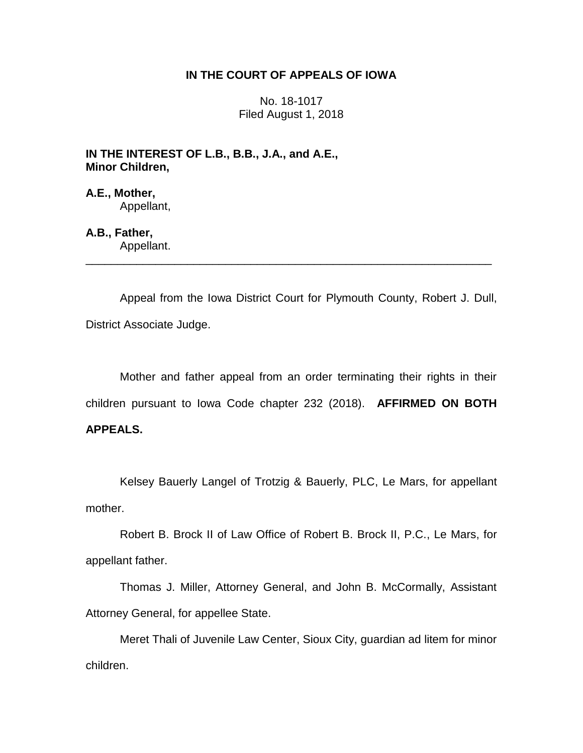## **IN THE COURT OF APPEALS OF IOWA**

No. 18-1017 Filed August 1, 2018

**IN THE INTEREST OF L.B., B.B., J.A., and A.E., Minor Children,**

**A.E., Mother,** Appellant,

**A.B., Father,** Appellant.

Appeal from the Iowa District Court for Plymouth County, Robert J. Dull, District Associate Judge.

\_\_\_\_\_\_\_\_\_\_\_\_\_\_\_\_\_\_\_\_\_\_\_\_\_\_\_\_\_\_\_\_\_\_\_\_\_\_\_\_\_\_\_\_\_\_\_\_\_\_\_\_\_\_\_\_\_\_\_\_\_\_\_\_

Mother and father appeal from an order terminating their rights in their children pursuant to Iowa Code chapter 232 (2018). **AFFIRMED ON BOTH** 

## **APPEALS.**

Kelsey Bauerly Langel of Trotzig & Bauerly, PLC, Le Mars, for appellant mother.

Robert B. Brock II of Law Office of Robert B. Brock II, P.C., Le Mars, for appellant father.

Thomas J. Miller, Attorney General, and John B. McCormally, Assistant Attorney General, for appellee State.

Meret Thali of Juvenile Law Center, Sioux City, guardian ad litem for minor children.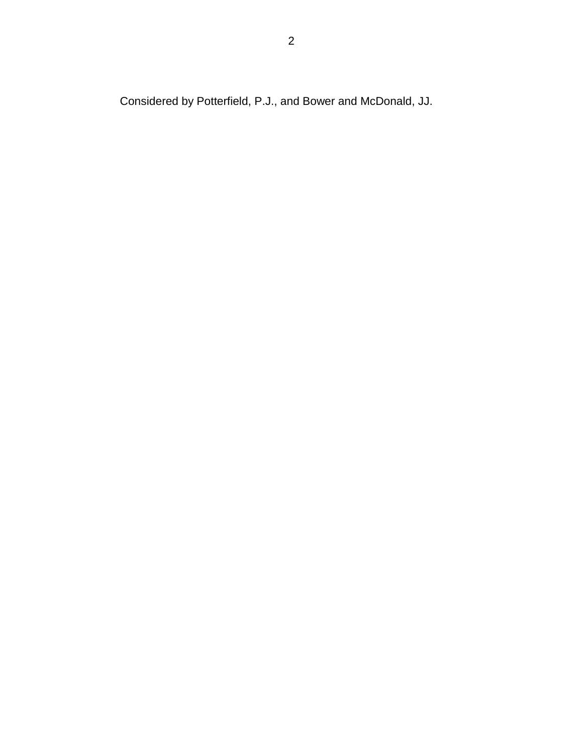Considered by Potterfield, P.J., and Bower and McDonald, JJ.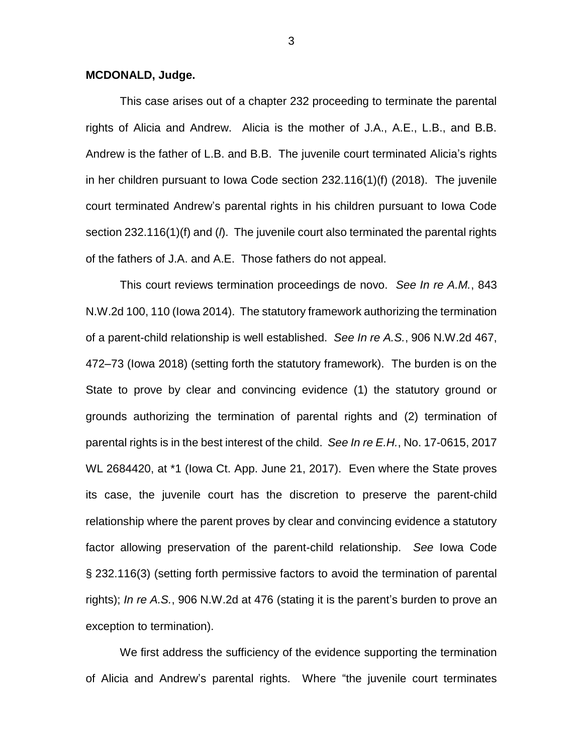## **MCDONALD, Judge.**

This case arises out of a chapter 232 proceeding to terminate the parental rights of Alicia and Andrew. Alicia is the mother of J.A., A.E., L.B., and B.B. Andrew is the father of L.B. and B.B. The juvenile court terminated Alicia's rights in her children pursuant to Iowa Code section 232.116(1)(f) (2018). The juvenile court terminated Andrew's parental rights in his children pursuant to Iowa Code section 232.116(1)(f) and (*l*). The juvenile court also terminated the parental rights of the fathers of J.A. and A.E. Those fathers do not appeal.

This court reviews termination proceedings de novo. *See In re A.M.*, 843 N.W.2d 100, 110 (Iowa 2014). The statutory framework authorizing the termination of a parent-child relationship is well established. *See In re A.S.*, 906 N.W.2d 467, 472–73 (Iowa 2018) (setting forth the statutory framework). The burden is on the State to prove by clear and convincing evidence (1) the statutory ground or grounds authorizing the termination of parental rights and (2) termination of parental rights is in the best interest of the child. *See In re E.H.*, No. 17-0615, 2017 WL 2684420, at \*1 (Iowa Ct. App. June 21, 2017). Even where the State proves its case, the juvenile court has the discretion to preserve the parent-child relationship where the parent proves by clear and convincing evidence a statutory factor allowing preservation of the parent-child relationship. *See* Iowa Code § 232.116(3) (setting forth permissive factors to avoid the termination of parental rights); *In re A.S.*, 906 N.W.2d at 476 (stating it is the parent's burden to prove an exception to termination).

We first address the sufficiency of the evidence supporting the termination of Alicia and Andrew's parental rights. Where "the juvenile court terminates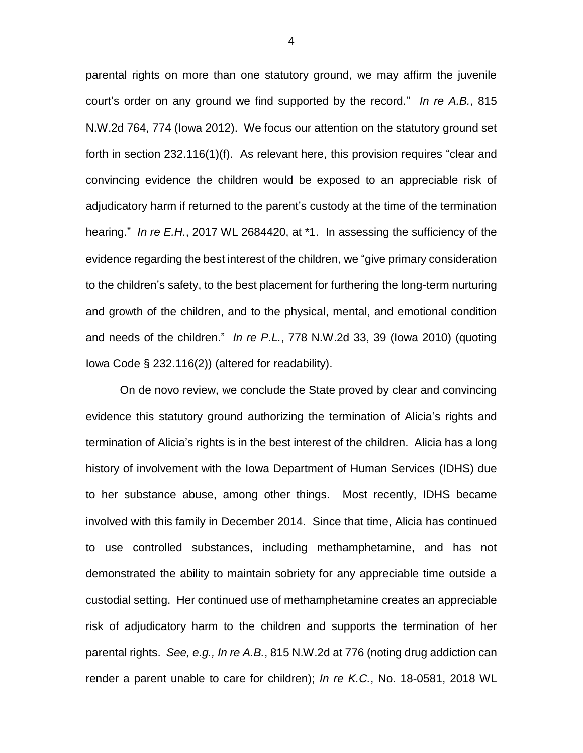parental rights on more than one statutory ground, we may affirm the juvenile court's order on any ground we find supported by the record." *In re A.B.*, 815 N.W.2d 764, 774 (Iowa 2012). We focus our attention on the statutory ground set forth in section 232.116(1)(f). As relevant here, this provision requires "clear and convincing evidence the children would be exposed to an appreciable risk of adjudicatory harm if returned to the parent's custody at the time of the termination hearing." *In re E.H.*, 2017 WL 2684420, at \*1. In assessing the sufficiency of the evidence regarding the best interest of the children, we "give primary consideration to the children's safety, to the best placement for furthering the long-term nurturing and growth of the children, and to the physical, mental, and emotional condition and needs of the children." *In re P.L.*, 778 N.W.2d 33, 39 (Iowa 2010) (quoting Iowa Code § 232.116(2)) (altered for readability).

On de novo review, we conclude the State proved by clear and convincing evidence this statutory ground authorizing the termination of Alicia's rights and termination of Alicia's rights is in the best interest of the children. Alicia has a long history of involvement with the Iowa Department of Human Services (IDHS) due to her substance abuse, among other things. Most recently, IDHS became involved with this family in December 2014. Since that time, Alicia has continued to use controlled substances, including methamphetamine, and has not demonstrated the ability to maintain sobriety for any appreciable time outside a custodial setting. Her continued use of methamphetamine creates an appreciable risk of adjudicatory harm to the children and supports the termination of her parental rights. *See, e.g., In re A.B.*, 815 N.W.2d at 776 (noting drug addiction can render a parent unable to care for children); *In re K.C.*, No. 18-0581, 2018 WL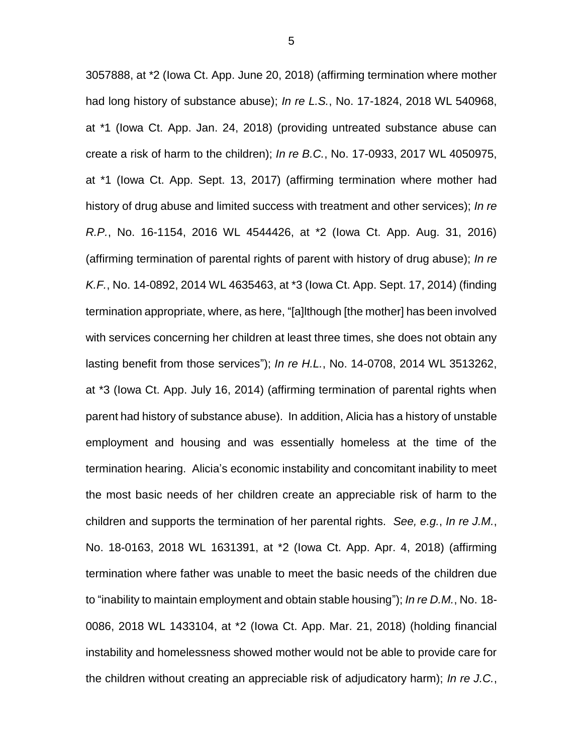3057888, at \*2 (Iowa Ct. App. June 20, 2018) (affirming termination where mother had long history of substance abuse); *In re L.S.*, No. 17-1824, 2018 WL 540968, at \*1 (Iowa Ct. App. Jan. 24, 2018) (providing untreated substance abuse can create a risk of harm to the children); *In re B.C.*, No. 17-0933, 2017 WL 4050975, at \*1 (Iowa Ct. App. Sept. 13, 2017) (affirming termination where mother had history of drug abuse and limited success with treatment and other services); *In re R.P.*, No. 16-1154, 2016 WL 4544426, at \*2 (Iowa Ct. App. Aug. 31, 2016) (affirming termination of parental rights of parent with history of drug abuse); *In re K.F.*, No. 14-0892, 2014 WL 4635463, at \*3 (Iowa Ct. App. Sept. 17, 2014) (finding termination appropriate, where, as here, "[a]lthough [the mother] has been involved with services concerning her children at least three times, she does not obtain any lasting benefit from those services"); *In re H.L.*, No. 14-0708, 2014 WL 3513262, at \*3 (Iowa Ct. App. July 16, 2014) (affirming termination of parental rights when parent had history of substance abuse). In addition, Alicia has a history of unstable employment and housing and was essentially homeless at the time of the termination hearing. Alicia's economic instability and concomitant inability to meet the most basic needs of her children create an appreciable risk of harm to the children and supports the termination of her parental rights. *See, e.g.*, *In re J.M.*, No. 18-0163, 2018 WL 1631391, at \*2 (Iowa Ct. App. Apr. 4, 2018) (affirming termination where father was unable to meet the basic needs of the children due to "inability to maintain employment and obtain stable housing"); *In re D.M.*, No. 18- 0086, 2018 WL 1433104, at \*2 (Iowa Ct. App. Mar. 21, 2018) (holding financial instability and homelessness showed mother would not be able to provide care for the children without creating an appreciable risk of adjudicatory harm); *In re J.C.*,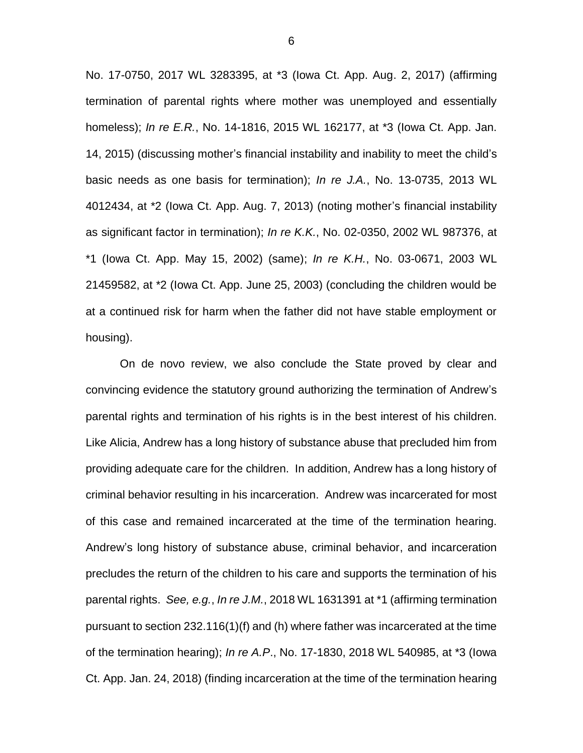No. 17-0750, 2017 WL 3283395, at \*3 (Iowa Ct. App. Aug. 2, 2017) (affirming termination of parental rights where mother was unemployed and essentially homeless); *In re E.R.*, No. 14-1816, 2015 WL 162177, at \*3 (Iowa Ct. App. Jan. 14, 2015) (discussing mother's financial instability and inability to meet the child's basic needs as one basis for termination); *In re J.A.*, No. 13-0735, 2013 WL 4012434, at \*2 (Iowa Ct. App. Aug. 7, 2013) (noting mother's financial instability as significant factor in termination); *In re K.K.*, No. 02-0350, 2002 WL 987376, at \*1 (Iowa Ct. App. May 15, 2002) (same); *In re K.H.*, No. 03-0671, 2003 WL 21459582, at \*2 (Iowa Ct. App. June 25, 2003) (concluding the children would be at a continued risk for harm when the father did not have stable employment or housing).

On de novo review, we also conclude the State proved by clear and convincing evidence the statutory ground authorizing the termination of Andrew's parental rights and termination of his rights is in the best interest of his children. Like Alicia, Andrew has a long history of substance abuse that precluded him from providing adequate care for the children. In addition, Andrew has a long history of criminal behavior resulting in his incarceration. Andrew was incarcerated for most of this case and remained incarcerated at the time of the termination hearing. Andrew's long history of substance abuse, criminal behavior, and incarceration precludes the return of the children to his care and supports the termination of his parental rights. *See, e.g.*, *In re J.M.*, 2018 WL 1631391 at \*1 (affirming termination pursuant to section 232.116(1)(f) and (h) where father was incarcerated at the time of the termination hearing); *In re A.P*., No. 17-1830, 2018 WL 540985, at \*3 (Iowa Ct. App. Jan. 24, 2018) (finding incarceration at the time of the termination hearing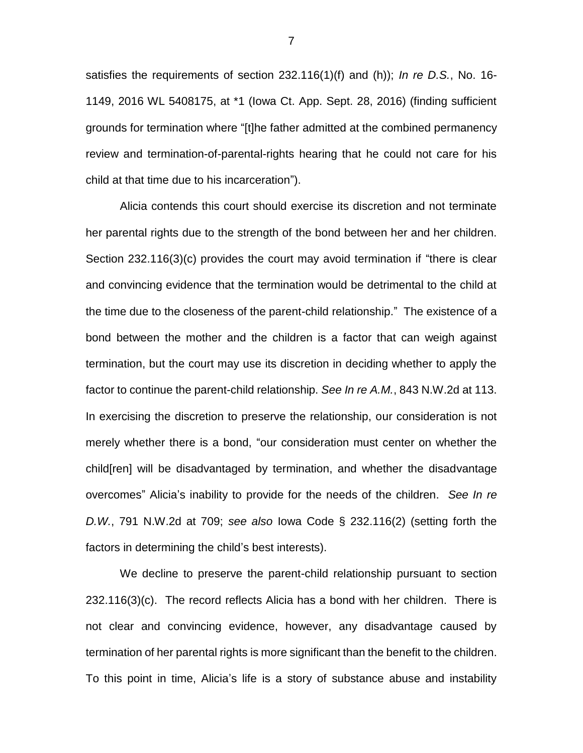satisfies the requirements of section 232.116(1)(f) and (h)); *In re D.S.*, No. 16- 1149, 2016 WL 5408175, at \*1 (Iowa Ct. App. Sept. 28, 2016) (finding sufficient grounds for termination where "[t]he father admitted at the combined permanency review and termination-of-parental-rights hearing that he could not care for his child at that time due to his incarceration").

Alicia contends this court should exercise its discretion and not terminate her parental rights due to the strength of the bond between her and her children. Section 232.116(3)(c) provides the court may avoid termination if "there is clear and convincing evidence that the termination would be detrimental to the child at the time due to the closeness of the parent-child relationship." The existence of a bond between the mother and the children is a factor that can weigh against termination, but the court may use its discretion in deciding whether to apply the factor to continue the parent-child relationship. *See In re A.M.*, 843 N.W.2d at 113. In exercising the discretion to preserve the relationship, our consideration is not merely whether there is a bond, "our consideration must center on whether the child[ren] will be disadvantaged by termination, and whether the disadvantage overcomes" Alicia's inability to provide for the needs of the children. *See In re D.W.*, 791 N.W.2d at 709; *see also* Iowa Code § 232.116(2) (setting forth the factors in determining the child's best interests).

We decline to preserve the parent-child relationship pursuant to section 232.116(3)(c). The record reflects Alicia has a bond with her children. There is not clear and convincing evidence, however, any disadvantage caused by termination of her parental rights is more significant than the benefit to the children. To this point in time, Alicia's life is a story of substance abuse and instability

7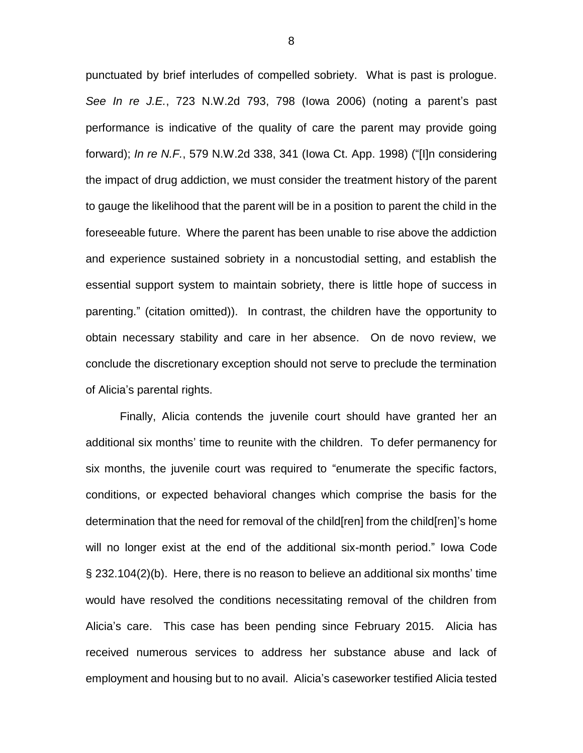punctuated by brief interludes of compelled sobriety. What is past is prologue. *See In re J.E.*, 723 N.W.2d 793, 798 (Iowa 2006) (noting a parent's past performance is indicative of the quality of care the parent may provide going forward); *In re N.F.*, 579 N.W.2d 338, 341 (Iowa Ct. App. 1998) ("[I]n considering the impact of drug addiction, we must consider the treatment history of the parent to gauge the likelihood that the parent will be in a position to parent the child in the foreseeable future. Where the parent has been unable to rise above the addiction and experience sustained sobriety in a noncustodial setting, and establish the essential support system to maintain sobriety, there is little hope of success in parenting." (citation omitted)). In contrast, the children have the opportunity to obtain necessary stability and care in her absence. On de novo review, we conclude the discretionary exception should not serve to preclude the termination of Alicia's parental rights.

Finally, Alicia contends the juvenile court should have granted her an additional six months' time to reunite with the children. To defer permanency for six months, the juvenile court was required to "enumerate the specific factors, conditions, or expected behavioral changes which comprise the basis for the determination that the need for removal of the child[ren] from the child[ren]'s home will no longer exist at the end of the additional six-month period." Iowa Code § 232.104(2)(b). Here, there is no reason to believe an additional six months' time would have resolved the conditions necessitating removal of the children from Alicia's care. This case has been pending since February 2015. Alicia has received numerous services to address her substance abuse and lack of employment and housing but to no avail. Alicia's caseworker testified Alicia tested

8